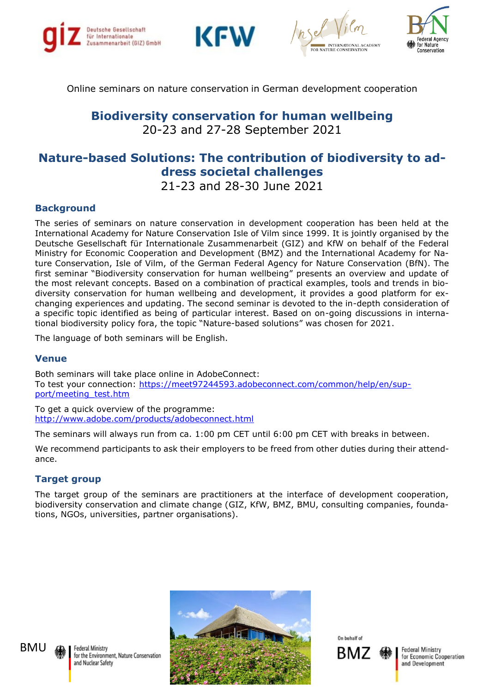







Online seminars on nature conservation in German development cooperation

**Biodiversity conservation for human wellbeing** 20-23 and 27-28 September 2021

# **Nature-based Solutions: The contribution of biodiversity to address societal challenges** 21-23 and 28-30 June 2021

### **Background**

The series of seminars on nature conservation in development cooperation has been held at the International Academy for Nature Conservation Isle of Vilm since 1999. It is jointly organised by the Deutsche Gesellschaft für Internationale Zusammenarbeit (GIZ) and KfW on behalf of the Federal Ministry for Economic Cooperation and Development (BMZ) and the International Academy for Nature Conservation, Isle of Vilm, of the German Federal Agency for Nature Conservation (BfN). The first seminar "Biodiversity conservation for human wellbeing" presents an overview and update of the most relevant concepts. Based on a combination of practical examples, tools and trends in biodiversity conservation for human wellbeing and development, it provides a good platform for exchanging experiences and updating. The second seminar is devoted to the in-depth consideration of a specific topic identified as being of particular interest. Based on on-going discussions in international biodiversity policy fora, the topic "Nature-based solutions" was chosen for 2021.

The language of both seminars will be English.

#### **Venue**

Both seminars will take place online in AdobeConnect: To test your connection: [https://meet97244593.adobeconnect.com/common/help/en/sup](https://meet97244593.adobeconnect.com/common/help/en/support/meeting_test.htm)[port/meeting\\_test.htm](https://meet97244593.adobeconnect.com/common/help/en/support/meeting_test.htm)

To get a quick overview of the programme: <http://www.adobe.com/products/adobeconnect.html>

The seminars will always run from ca. 1:00 pm CET until 6:00 pm CET with breaks in between.

We recommend participants to ask their employers to be freed from other duties during their attendance.

#### **Target group**

The target group of the seminars are practitioners at the interface of development cooperation, biodiversity conservation and climate change (GIZ, KfW, BMZ, BMU, consulting companies, foundations, NGOs, universities, partner organisations).



On hehalf of



**Federal Ministry** for Economic Cooperation and Development



Federal Ministry for the Environment, Nature Conservation and Nuclear Safety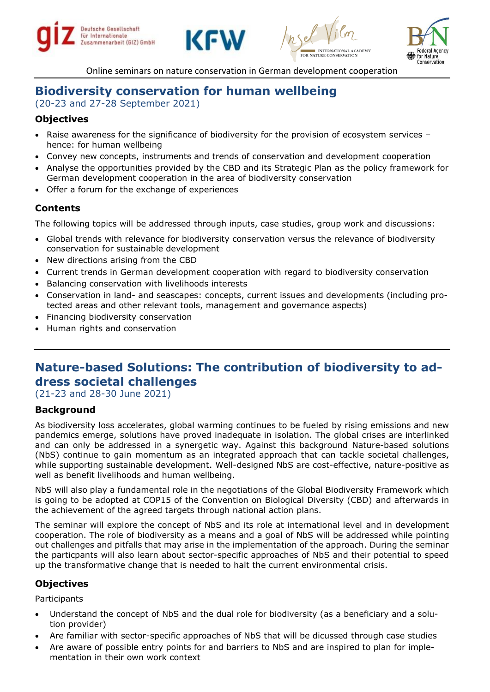







Online seminars on nature conservation in German development cooperation

# **Biodiversity conservation for human wellbeing**

(20-23 and 27-28 September 2021)

# **Objectives**

- Raise awareness for the significance of biodiversity for the provision of ecosystem services hence: for human wellbeing
- Convey new concepts, instruments and trends of conservation and development cooperation
- Analyse the opportunities provided by the CBD and its Strategic Plan as the policy framework for German development cooperation in the area of biodiversity conservation
- Offer a forum for the exchange of experiences

## **Contents**

The following topics will be addressed through inputs, case studies, group work and discussions:

- Global trends with relevance for biodiversity conservation versus the relevance of biodiversity conservation for sustainable development
- New directions arising from the CBD
- Current trends in German development cooperation with regard to biodiversity conservation
- Balancing conservation with livelihoods interests
- Conservation in land- and seascapes: concepts, current issues and developments (including protected areas and other relevant tools, management and governance aspects)
- Financing biodiversity conservation
- Human rights and conservation

# **Nature-based Solutions: The contribution of biodiversity to address societal challenges**

(21-23 and 28-30 June 2021)

## **Background**

As biodiversity loss accelerates, global warming continues to be fueled by rising emissions and new pandemics emerge, solutions have proved inadequate in isolation. The global crises are interlinked and can only be addressed in a synergetic way. Against this background Nature-based solutions (NbS) continue to gain momentum as an integrated approach that can tackle societal challenges, while supporting sustainable development. Well-designed NbS are cost-effective, nature-positive as well as benefit livelihoods and human wellbeing.

NbS will also play a fundamental role in the negotiations of the Global Biodiversity Framework which is going to be adopted at COP15 of the Convention on Biological Diversity (CBD) and afterwards in the achievement of the agreed targets through national action plans.

The seminar will explore the concept of NbS and its role at international level and in development cooperation. The role of biodiversity as a means and a goal of NbS will be addressed while pointing out challenges and pitfalls that may arise in the implementation of the approach. During the seminar the particpants will also learn about sector-specific approaches of NbS and their potential to speed up the transformative change that is needed to halt the current environmental crisis.

## **Objectives**

Participants

- Understand the concept of NbS and the dual role for biodiversity (as a beneficiary and a solution provider)
- Are familiar with sector-specific approaches of NbS that will be dicussed through case studies
- Are aware of possible entry points for and barriers to NbS and are inspired to plan for implementation in their own work context